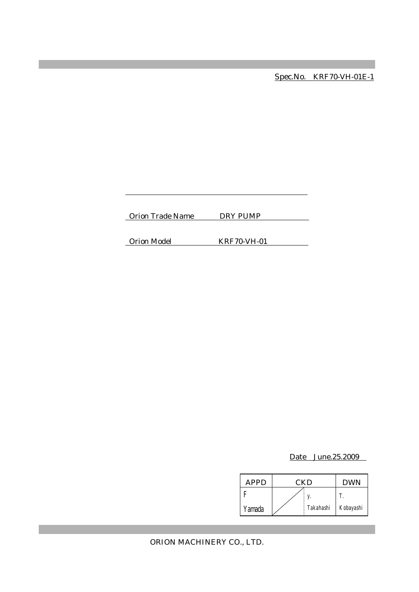Spec.No. KRF70-VH-01E-1

Orion Trade Name DRY PUMP

Orion Model KRF70-VH-01

Date June.25.2009

| APPD   | CKD |           | <b>DWN</b> |
|--------|-----|-----------|------------|
|        |     |           |            |
| Yamada |     | Takahashi | Kobayashi  |

ORION MACHINERY CO., LTD.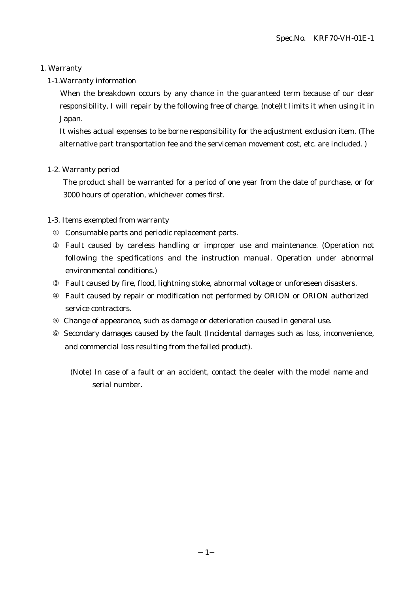### 1. Warranty

### 1-1.Warranty information

When the breakdown occurs by any chance in the guaranteed term because of our clear responsibility, I will repair by the following free of charge. (note)It limits it when using it in Japan.

It wishes actual expenses to be borne responsibility for the adjustment exclusion item. (The alternative part transportation fee and the serviceman movement cost, etc. are included. )

### 1-2. Warranty period

The product shall be warranted for a period of one year from the date of purchase, or for 3000 hours of operation, whichever comes first.

### 1-3. Items exempted from warranty

Consumable parts and periodic replacement parts.

Fault caused by careless handling or improper use and maintenance. (Operation not following the specifications and the instruction manual. Operation under abnormal environmental conditions.)

Fault caused by fire, flood, lightning stoke, abnormal voltage or unforeseen disasters.

Fault caused by repair or modification not performed by ORION or ORION authorized service contractors.

Change of appearance, such as damage or deterioration caused in general use.

 Secondary damages caused by the fault (Incidental damages such as loss, inconvenience, and commercial loss resulting from the failed product).

(Note) In case of a fault or an accident, contact the dealer with the model name and serial number.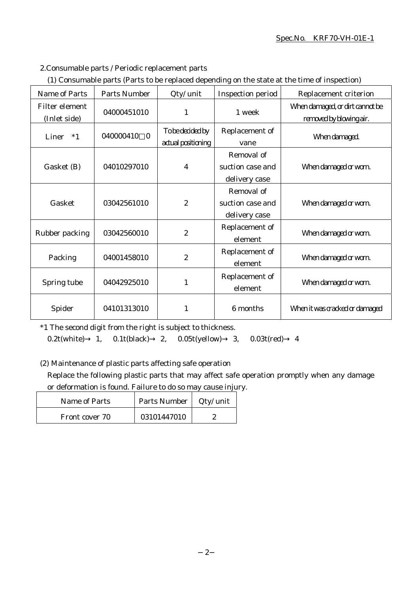### Spec.No. KRF70-VH-01E-1

2.Consumable parts / Periodic replacement parts

| (1) Consumable parts (Parts to be replaced depending on the state at the time of inspection) |
|----------------------------------------------------------------------------------------------|
|----------------------------------------------------------------------------------------------|

| Name of Parts                  | <b>Parts Number</b>   | Qty/ unit                              | Inspection period                               | Replacement criterion                                      |
|--------------------------------|-----------------------|----------------------------------------|-------------------------------------------------|------------------------------------------------------------|
| Filter element<br>(Inlet side) | 04000451010           | 1                                      | 1 week                                          | When damaged, or dirt cannot be<br>removed by blowing air. |
| Liner<br>$*1$                  | 040000410<br>$\Omega$ | To be decided by<br>actual positioning | Replacement of<br>vane                          | When damaged.                                              |
| Gasket (B)                     | 04010297010           | 4                                      | Removal of<br>suction case and<br>delivery case | When damaged or worn.                                      |
| Gasket                         | 03042561010           | $\boldsymbol{2}$                       | Removal of<br>suction case and<br>delivery case | When damaged or worn.                                      |
| Rubber packing                 | 03042560010           | $\boldsymbol{2}$                       | Replacement of<br>element                       | When damaged or worn.                                      |
| Packing                        | 04001458010           | $\boldsymbol{2}$                       | Replacement of<br>element                       | When damaged or worn.                                      |
| Spring tube                    | 04042925010           | 1                                      | Replacement of<br>element                       | When damaged or worn.                                      |
| Spider                         | 04101313010           | 1                                      | 6 months                                        | When it was cracked or damaged                             |

\*1 The second digit from the right is subject to thickness.

0.2t(white) 1, 0.1t(black) 2, 0.05t(yellow) 3, 0.03t(red) 4

(2) Maintenance of plastic parts affecting safe operation

Replace the following plastic parts that may affect safe operation promptly when any damage or deformation is found. Failure to do so may cause injury.

| <b>Name of Parts</b> | Parts Number | Qty/ unit |
|----------------------|--------------|-----------|
| Front cover 70       | 03101447010  |           |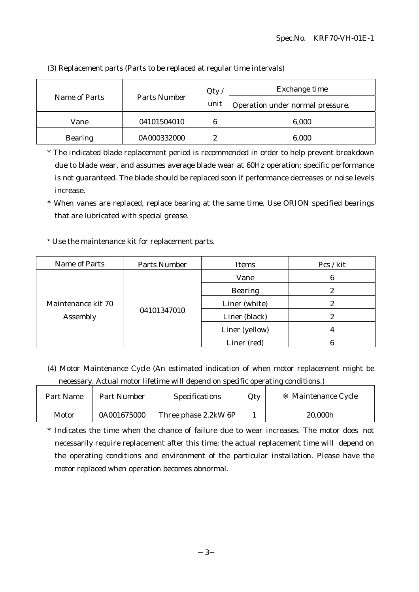|                               |             | Qty  | Exchange time                    |
|-------------------------------|-------------|------|----------------------------------|
| Parts Number<br>Name of Parts |             | unit | Operation under normal pressure. |
| Vane                          | 04101504010 | 6    | 6,000                            |
| <b>Bearing</b>                | 0A000332000 | Ω    | 6,000                            |

(3) Replacement parts (Parts to be replaced at regular time intervals)

\* The indicated blade replacement period is recommended in order to help prevent breakdown due to blade wear, and assumes average blade wear at 60Hz operation; specific performance is not guaranteed. The blade should be replaced soon if performance decreases or noise levels increase.

\* When vanes are replaced, replace bearing at the same time. Use ORION specified bearings that are lubricated with special grease.

\* Use the maintenance kit for replacement parts.

| Name of Parts                  | Parts Number | Items          | Pcs / kit |
|--------------------------------|--------------|----------------|-----------|
| Maintenance kit 70<br>Assembly | 04101347010  | Vane           | 6         |
|                                |              | <b>Bearing</b> | ๑         |
|                                |              | Liner (white)  |           |
|                                |              | Liner (black)  | 2         |
|                                |              | Liner (yellow) |           |
|                                |              | Liner (red)    |           |

(4) Motor Maintenance Cycle (An estimated indication of when motor replacement might be necessary. Actual motor lifetime will depend on specific operating conditions.)

| Part Name | <b>Part Number</b> | Specifications       | Qty | Maintenance Cycle |
|-----------|--------------------|----------------------|-----|-------------------|
| Motor     | 0A001675000        | Three phase 2.2kW 6P |     | 20,000h           |

\* Indicates the time when the chance of failure due to wear increases. The motor does not necessarily require replacement after this time; the actual replacement time will depend on the operating conditions and environment of the particular installation. Please have the motor replaced when operation becomes abnormal.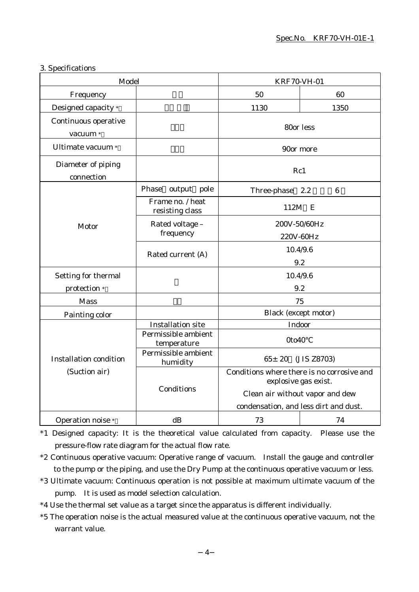| 3. Specifications |       |  |
|-------------------|-------|--|
|                   | Model |  |
|                   |       |  |

| Model                                          |                                     | <b>KRF70-VH-01</b>                                                 |                 |
|------------------------------------------------|-------------------------------------|--------------------------------------------------------------------|-----------------|
| Frequency                                      |                                     | 50<br>60                                                           |                 |
| Designed capacity *                            |                                     | 1130                                                               | 1350            |
| Continuous operative<br>vacuum *               |                                     | 80or less                                                          |                 |
| Ultimate vacuum *                              |                                     | 90or more                                                          |                 |
| Diameter of piping<br>connection               |                                     | Rc1                                                                |                 |
|                                                | Phase<br>output pole                | Three-phase 2.2                                                    | $6\phantom{1}6$ |
|                                                | Frame no. / heat<br>resisting class | 112M E                                                             |                 |
| Motor                                          | Rated voltage -<br>frequency        | 200V-50/60Hz<br>220V-60Hz                                          |                 |
|                                                | Rated current (A)                   | 10.4/9.6<br>9.2                                                    |                 |
| Setting for thermal<br>protection *            |                                     | 10.4/9.6<br>9.2                                                    |                 |
| <b>Mass</b>                                    |                                     | 75                                                                 |                 |
| Painting color                                 |                                     | Black (except motor)                                               |                 |
|                                                | <b>Installation site</b>            | Indoor                                                             |                 |
| <b>Installation condition</b><br>(Suction air) | Permissible ambient<br>temperature  | 0to40                                                              |                 |
|                                                | Permissible ambient<br>humidity     | $65 \pm 20$<br>(JIS Z8703)                                         |                 |
|                                                | Conditions                          | Conditions where there is no corrosive and<br>explosive gas exist. |                 |
|                                                |                                     | Clean air without vapor and dew                                    |                 |
|                                                |                                     | condensation, and less dirt and dust.                              |                 |
| Operation noise *                              | dB                                  | 73                                                                 | 74              |

\*1 Designed capacity: It is the theoretical value calculated from capacity. Please use the pressure-flow rate diagram for the actual flow rate.

\*2 Continuous operative vacuum: Operative range of vacuum. Install the gauge and controller to the pump or the piping, and use the Dry Pump at the continuous operative vacuum or less.

- \*3 Ultimate vacuum: Continuous operation is not possible at maximum ultimate vacuum of the pump. It is used as model selection calculation.
- \*4 Use the thermal set value as a target since the apparatus is different individually.
- \*5 The operation noise is the actual measured value at the continuous operative vacuum, not the warrant value.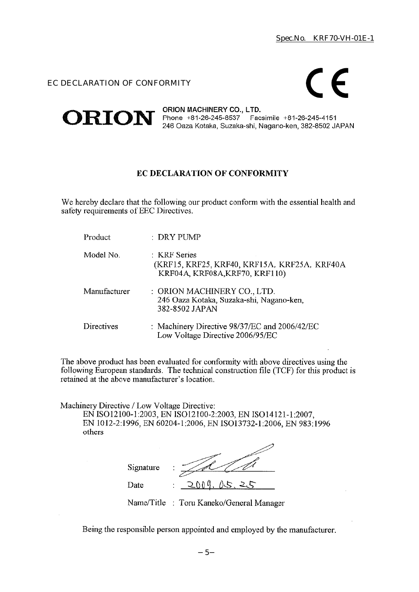### EC DECLARATION OF CONFORMITY

# $\epsilon$



### EC DECLARATION OF CONFORMITY

We hereby declare that the following our product conform with the essential health and safety requirements of EEC Directives.

| Product      | : DRY PUMP                                                                                     |
|--------------|------------------------------------------------------------------------------------------------|
| Model No.    | : KRF Series<br>(KRF15, KRF25, KRF40, KRF15A, KRF25A, KRF40A<br>KRF04A, KRF08A, KRF70, KRF110) |
| Manufacturer | : ORION MACHINERY CO., LTD.<br>246 Oaza Kotaka, Suzaka-shi, Nagano-ken,<br>382-8502 JAPAN      |
| Directives   | : Machinery Directive 98/37/EC and 2006/42/EC<br>Low Voltage Directive 2006/95/EC              |

The above product has been evaluated for conformity with above directives using the following European standards. The technical construction file (TCF) for this product is retained at the above manufacturer's location.

Machinery Directive / Low Voltage Directive:

EN ISO12100-1:2003, EN ISO12100-2:2003, EN ISO14121-1:2007, EN 1012-2:1996, EN 60204-1:2006, EN ISO13732-1:2006, EN 983:1996 others

| Signature | ٠<br>٠               |
|-----------|----------------------|
| Date      | ስስ ወ<br>15<br>٠<br>٠ |

Name/Title : Toru Kaneko/General Manager

Being the responsible person appointed and employed by the manufacturer.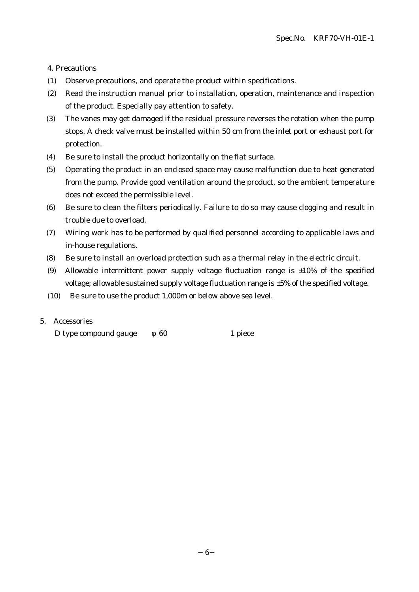4. Precautions

- (1) Observe precautions, and operate the product within specifications.
- (2) Read the instruction manual prior to installation, operation, maintenance and inspection of the product. Especially pay attention to safety.
- (3) The vanes may get damaged if the residual pressure reverses the rotation when the pump stops. A check valve must be installed within 50 cm from the inlet port or exhaust port for protection.
- (4) Be sure to install the product horizontally on the flat surface.
- (5) Operating the product in an enclosed space may cause malfunction due to heat generated from the pump. Provide good ventilation around the product, so the ambient temperature does not exceed the permissible level.
- (6) Be sure to clean the filters periodically. Failure to do so may cause clogging and result in trouble due to overload.
- (7) Wiring work has to be performed by qualified personnel according to applicable laws and in-house regulations.
- (8) Be sure to install an overload protection such as a thermal relay in the electric circuit.
- (9) Allowable intermittent power supply voltage fluctuation range is  $\pm 10\%$  of the specified voltage; allowable sustained supply voltage fluctuation range is ±5% of the specified voltage.
- (10) Be sure to use the product 1,000m or below above sea level.

### 5. Accessories

D type compound gauge 60 1 piece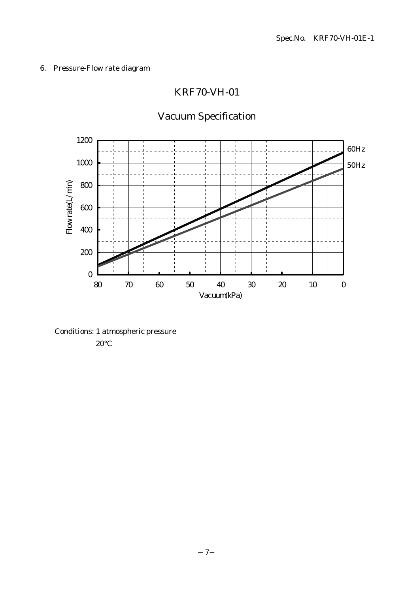### 6. Pressure-Flow rate diagram

### KRF70-VH-01

## Vacuum Specification



Conditions: 1 atmospheric pressure

20